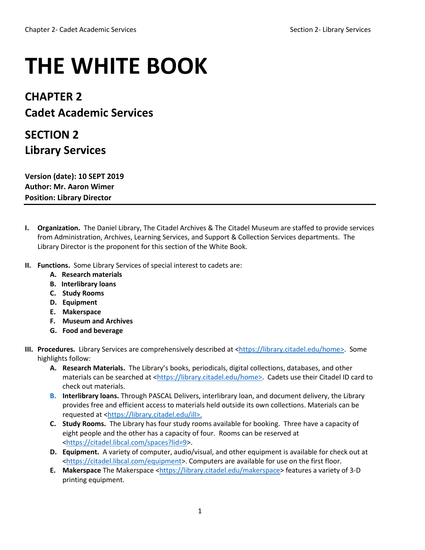## **THE WHITE BOOK**

## **CHAPTER 2 Cadet Academic Services**

## **SECTION 2 Library Services**

**Version (date): 10 SEPT 2019 Author: Mr. Aaron Wimer Position: Library Director**

- **I. Organization.** The Daniel Library, The Citadel Archives & The Citadel Museum are staffed to provide services from Administration, Archives, Learning Services, and Support & Collection Services departments. The Library Director is the proponent for this section of the White Book.
- **II. Functions.** Some Library Services of special interest to cadets are:
	- **A. Research materials**
	- **B. Interlibrary loans**
	- **C. Study Rooms**
	- **D. Equipment**
	- **E. Makerspace**
	- **F. Museum and Archives**
	- **G. Food and beverage**
- **III. Procedures.** Library Services are comprehensively described at [<https://library.citadel.edu/home>](https://library.citadel.edu/home). Some highlights follow:
	- **A. Research Materials.** The Library's books, periodicals, digital collections, databases, and other materials can be searched at [<https://library.citadel.edu/home>](https://library.citadel.edu/home). Cadets use their Citadel ID card to check out materials.
	- **B. Interlibrary loans.** Through PASCAL Delivers, interlibrary loan, and document delivery, the Library provides free and efficient access to materials held outside its own collections. Materials can be requested at [<https://library.citadel.edu/ill>.](https://library.citadel.edu/ill)
	- **C. Study Rooms.** The Library has four study rooms available for booking. Three have a capacity of eight people and the other has a capacity of four. Rooms can be reserved at [<https://citadel.libcal.com/spaces?lid=9>](https://citadel.libcal.com/spaces?lid=9).
	- **D. Equipment.** A variety of computer, audio/visual, and other equipment is available for check out at [<https://citadel.libcal.com/equipment>](https://citadel.libcal.com/equipment). Computers are available for use on the first floor.
	- **E. Makerspace** The Makerspace [<https://library.citadel.edu/makerspace>](https://library.citadel.edu/makerspace) features a variety of 3-D printing equipment.